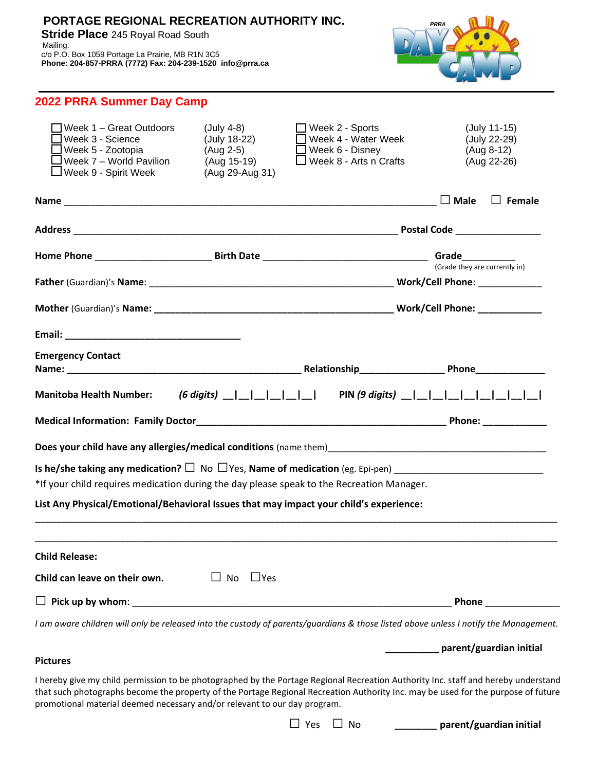# **PORTAGE REGIONAL RECREATION AUTHORITY INC.**

 **Stride Place** 245 Royal Road South

 Mailing: c/o P.O. Box 1059 Portage La Prairie, MB R1N 3C5 **Phone: 204-857-PRRA (7772) Fax: 204-239-1520 info@prra.ca**



| 2022 PRRA Summer Day Camp                                                                                                                        |                                                                           |                                                                                                               |                                                                                                                                      |  |  |
|--------------------------------------------------------------------------------------------------------------------------------------------------|---------------------------------------------------------------------------|---------------------------------------------------------------------------------------------------------------|--------------------------------------------------------------------------------------------------------------------------------------|--|--|
| Week 1 - Great Outdoors<br>$\Box$ Week 3 - Science<br>$\Box$ Week 5 - Zootopia<br>l Week 7 – World Pavilion<br>$\sqcup$ Week 9 - Spirit Week     | (July 4-8)<br>(July 18-22)<br>(Aug 2-5)<br>(Aug 15-19)<br>(Aug 29-Aug 31) | $\Box$ Week 2 - Sports<br>□ Week 4 - Water Week<br>$\square$ Week 6 - Disney<br>$\Box$ Week 8 - Arts n Crafts | (July 11-15)<br>(July 22-29)<br>(Aug 8-12)<br>(Aug 22-26)                                                                            |  |  |
|                                                                                                                                                  |                                                                           |                                                                                                               | $\Box$ Female                                                                                                                        |  |  |
|                                                                                                                                                  |                                                                           |                                                                                                               |                                                                                                                                      |  |  |
|                                                                                                                                                  |                                                                           |                                                                                                               |                                                                                                                                      |  |  |
|                                                                                                                                                  |                                                                           |                                                                                                               |                                                                                                                                      |  |  |
|                                                                                                                                                  |                                                                           |                                                                                                               |                                                                                                                                      |  |  |
|                                                                                                                                                  |                                                                           |                                                                                                               |                                                                                                                                      |  |  |
| <b>Emergency Contact</b>                                                                                                                         |                                                                           |                                                                                                               |                                                                                                                                      |  |  |
| <b>Manitoba Health Number:</b>                                                                                                                   |                                                                           |                                                                                                               |                                                                                                                                      |  |  |
|                                                                                                                                                  |                                                                           |                                                                                                               |                                                                                                                                      |  |  |
| Does your child have any allergies/medical conditions (name them)<br>entity and them are alleged to the conditions of the conditions (name them) |                                                                           |                                                                                                               |                                                                                                                                      |  |  |
| Is he/she taking any medication? $\square$ No $\square$ Yes, Name of medication (eg. Epi-pen)                                                    |                                                                           |                                                                                                               |                                                                                                                                      |  |  |
| *If your child requires medication during the day please speak to the Recreation Manager.                                                        |                                                                           |                                                                                                               |                                                                                                                                      |  |  |
| List Any Physical/Emotional/Behavioral Issues that may impact your child's experience:                                                           |                                                                           |                                                                                                               |                                                                                                                                      |  |  |
|                                                                                                                                                  |                                                                           |                                                                                                               |                                                                                                                                      |  |  |
| <b>Child Release:</b>                                                                                                                            |                                                                           |                                                                                                               |                                                                                                                                      |  |  |
| Child can leave on their own.                                                                                                                    | $\Box$ Yes<br>$\Box$ No                                                   |                                                                                                               |                                                                                                                                      |  |  |
|                                                                                                                                                  |                                                                           |                                                                                                               | Phone                                                                                                                                |  |  |
|                                                                                                                                                  |                                                                           |                                                                                                               | I am aware children will only be released into the custody of parents/guardians & those listed above unless I notify the Management. |  |  |
| <b>Pictures</b>                                                                                                                                  |                                                                           |                                                                                                               | parent/guardian initial                                                                                                              |  |  |
|                                                                                                                                                  |                                                                           |                                                                                                               | I hereby give my child permission to be photographed by the Portage Regional Recreation Authority Inc. staff and hereby understand   |  |  |
| promotional material deemed necessary and/or relevant to our day program.                                                                        |                                                                           |                                                                                                               | that such photographs become the property of the Portage Regional Recreation Authority Inc. may be used for the purpose of future    |  |  |

□ Yes □ No **\_\_\_\_\_\_\_\_ parent/guardian initial**